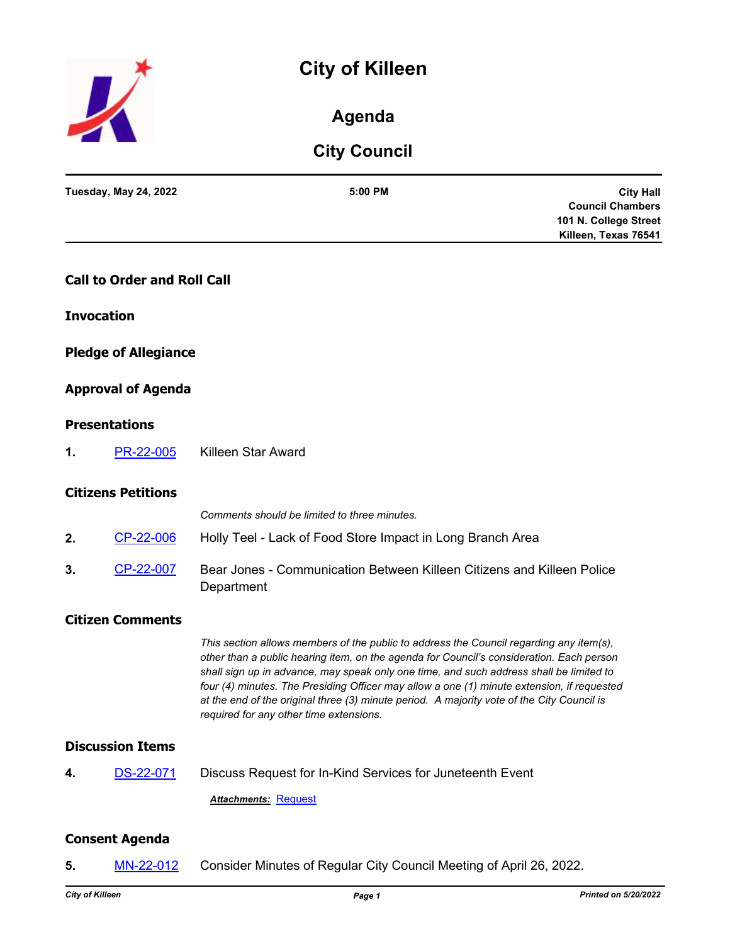# **City of Killeen**



## **Agenda**

## **City Council**

|    | <b>Tuesday, May 24, 2022</b>       | 5:00 PM<br><b>City Hall</b><br><b>Council Chambers</b><br>101 N. College Street<br>Killeen, Texas 76541                                                                                                                                                                                                                                                                                                                                                                                                               |
|----|------------------------------------|-----------------------------------------------------------------------------------------------------------------------------------------------------------------------------------------------------------------------------------------------------------------------------------------------------------------------------------------------------------------------------------------------------------------------------------------------------------------------------------------------------------------------|
|    | <b>Call to Order and Roll Call</b> |                                                                                                                                                                                                                                                                                                                                                                                                                                                                                                                       |
|    | <b>Invocation</b>                  |                                                                                                                                                                                                                                                                                                                                                                                                                                                                                                                       |
|    | <b>Pledge of Allegiance</b>        |                                                                                                                                                                                                                                                                                                                                                                                                                                                                                                                       |
|    | <b>Approval of Agenda</b>          |                                                                                                                                                                                                                                                                                                                                                                                                                                                                                                                       |
|    | <b>Presentations</b>               |                                                                                                                                                                                                                                                                                                                                                                                                                                                                                                                       |
| 1. | PR-22-005                          | <b>Killeen Star Award</b>                                                                                                                                                                                                                                                                                                                                                                                                                                                                                             |
|    | <b>Citizens Petitions</b>          |                                                                                                                                                                                                                                                                                                                                                                                                                                                                                                                       |
|    |                                    | Comments should be limited to three minutes.                                                                                                                                                                                                                                                                                                                                                                                                                                                                          |
| 2. | CP-22-006                          | Holly Teel - Lack of Food Store Impact in Long Branch Area                                                                                                                                                                                                                                                                                                                                                                                                                                                            |
| 3. | CP-22-007                          | Bear Jones - Communication Between Killeen Citizens and Killeen Police<br>Department                                                                                                                                                                                                                                                                                                                                                                                                                                  |
|    | <b>Citizen Comments</b>            |                                                                                                                                                                                                                                                                                                                                                                                                                                                                                                                       |
|    |                                    | This section allows members of the public to address the Council regarding any item(s),<br>other than a public hearing item, on the agenda for Council's consideration. Each person<br>shall sign up in advance, may speak only one time, and such address shall be limited to<br>four (4) minutes. The Presiding Officer may allow a one (1) minute extension, if requested<br>at the end of the original three (3) minute period. A majority vote of the City Council is<br>required for any other time extensions. |
|    | <b>Discussion Items</b>            |                                                                                                                                                                                                                                                                                                                                                                                                                                                                                                                       |
| 4. | DS-22-071                          | Discuss Request for In-Kind Services for Juneteenth Event                                                                                                                                                                                                                                                                                                                                                                                                                                                             |
|    |                                    | <b>Attachments: Request</b>                                                                                                                                                                                                                                                                                                                                                                                                                                                                                           |
|    | <b>Consent Agenda</b>              |                                                                                                                                                                                                                                                                                                                                                                                                                                                                                                                       |
| 5. | MN-22-012                          | Consider Minutes of Regular City Council Meeting of April 26, 2022.                                                                                                                                                                                                                                                                                                                                                                                                                                                   |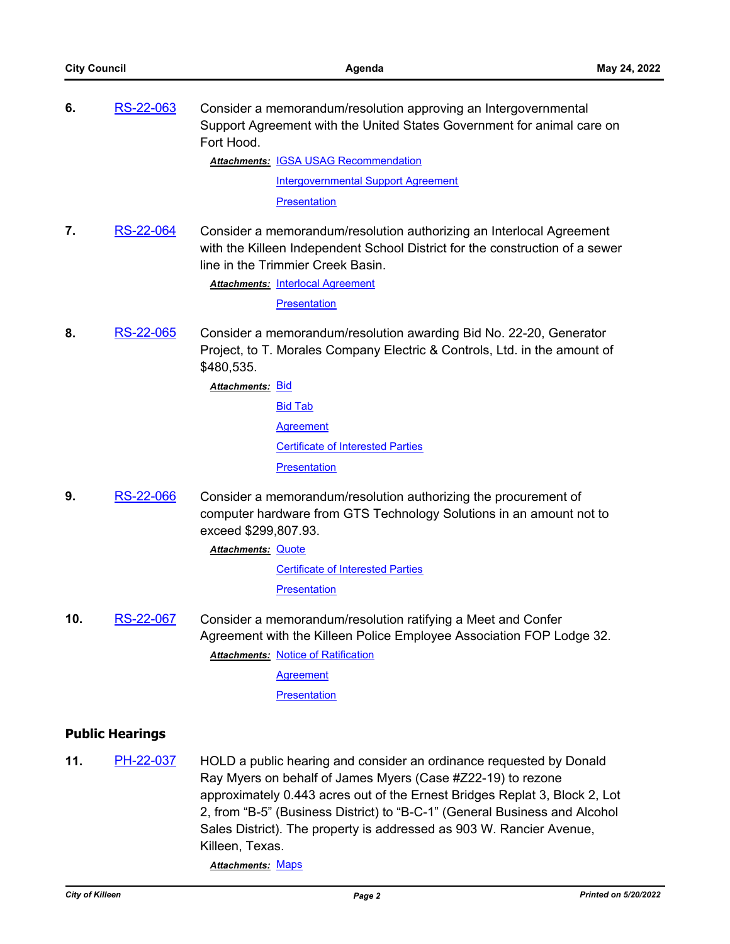| 6.                     | RS-22-063        | Consider a memorandum/resolution approving an Intergovernmental<br>Support Agreement with the United States Government for animal care on<br>Fort Hood.                                                                               |  |  |
|------------------------|------------------|---------------------------------------------------------------------------------------------------------------------------------------------------------------------------------------------------------------------------------------|--|--|
|                        |                  | <b>Attachments: IGSA USAG Recommendation</b>                                                                                                                                                                                          |  |  |
|                        |                  | <b>Intergovernmental Support Agreement</b>                                                                                                                                                                                            |  |  |
|                        |                  | Presentation                                                                                                                                                                                                                          |  |  |
| 7.                     | RS-22-064        | Consider a memorandum/resolution authorizing an Interlocal Agreement<br>with the Killeen Independent School District for the construction of a sewer<br>line in the Trimmier Creek Basin.<br><b>Attachments: Interlocal Agreement</b> |  |  |
|                        |                  | Presentation                                                                                                                                                                                                                          |  |  |
| 8.                     | RS-22-065        | Consider a memorandum/resolution awarding Bid No. 22-20, Generator<br>Project, to T. Morales Company Electric & Controls, Ltd. in the amount of<br>\$480,535.                                                                         |  |  |
|                        |                  | <u> Attachments: Bid</u>                                                                                                                                                                                                              |  |  |
|                        |                  | <b>Bid Tab</b>                                                                                                                                                                                                                        |  |  |
|                        |                  | <b>Agreement</b>                                                                                                                                                                                                                      |  |  |
|                        |                  | <b>Certificate of Interested Parties</b>                                                                                                                                                                                              |  |  |
|                        |                  | <b>Presentation</b>                                                                                                                                                                                                                   |  |  |
| 9.                     | <b>RS-22-066</b> | Consider a memorandum/resolution authorizing the procurement of<br>computer hardware from GTS Technology Solutions in an amount not to<br>exceed \$299,807.93.                                                                        |  |  |
|                        |                  | <b>Attachments: Quote</b>                                                                                                                                                                                                             |  |  |
|                        |                  | <b>Certificate of Interested Parties</b>                                                                                                                                                                                              |  |  |
|                        |                  | <b>Presentation</b>                                                                                                                                                                                                                   |  |  |
| 10.                    | RS-22-067        | Consider a memorandum/resolution ratifying a Meet and Confer<br>Agreement with the Killeen Police Employee Association FOP Lodge 32.<br><b>Attachments: Notice of Ratification</b><br><b>Agreement</b><br>Presentation                |  |  |
| <b>Public Hearings</b> |                  |                                                                                                                                                                                                                                       |  |  |
|                        |                  |                                                                                                                                                                                                                                       |  |  |
| 11.                    | PH-22-037        | HOLD a public hearing and consider an ordinance requested by Donald<br>$Dayth$ $Mya$ is a in bobalf of lampso $Mya$ $Daa$ $HZ22AAD$ $ba$ is                                                                                           |  |  |

Ray Myers on behalf of James Myers (Case #Z22-19) to rezone approximately 0.443 acres out of the Ernest Bridges Replat 3, Block 2, Lot 2, from "B-5" (Business District) to "B-C-1" (General Business and Alcohol Sales District). The property is addressed as 903 W. Rancier Avenue, Killeen, Texas.

*Attachments:* [Maps](http://killeen.legistar.com/gateway.aspx?M=F&ID=14d4ca49-ce78-477f-ac24-a933ad08cbd6.pdf)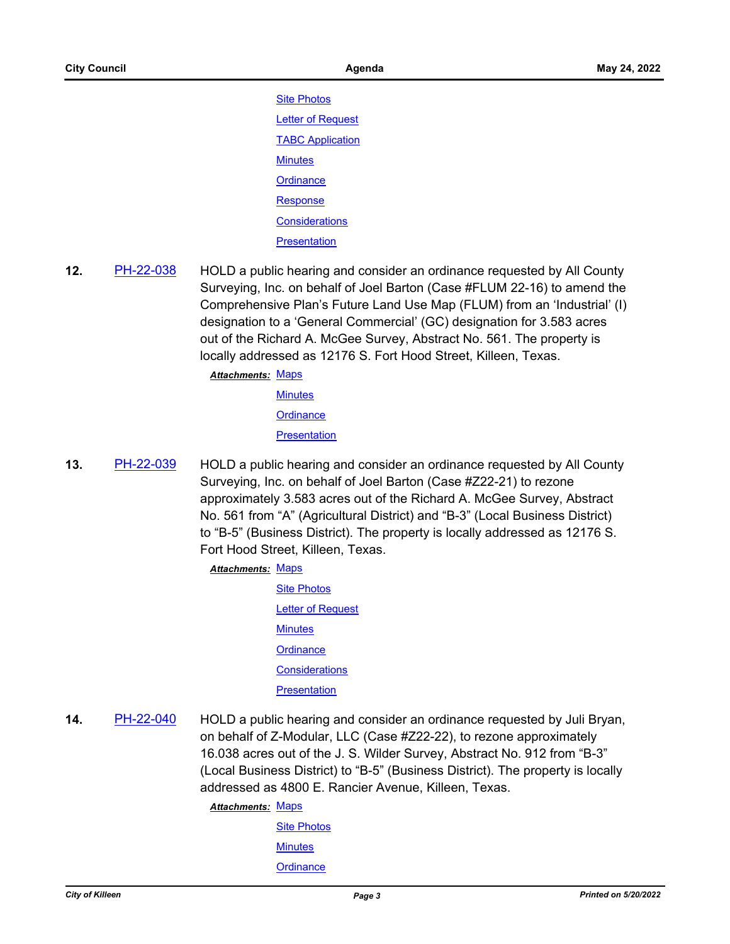**[Site Photos](http://killeen.legistar.com/gateway.aspx?M=F&ID=1c07dba9-fd64-4f26-8503-aad421f11e66.pdf)** [Letter of Request](http://killeen.legistar.com/gateway.aspx?M=F&ID=22e8564b-693e-40bf-b6b7-128b1a8986a4.pdf) [TABC Application](http://killeen.legistar.com/gateway.aspx?M=F&ID=2fe0fdaf-7f0d-47d8-8bbb-6462a7415a73.pdf) **[Minutes](http://killeen.legistar.com/gateway.aspx?M=F&ID=a547ad42-5f9d-4506-9efe-bc4ab0ddaee8.pdf) [Ordinance](http://killeen.legistar.com/gateway.aspx?M=F&ID=4cbea3ae-2bfa-4308-8f25-fdda98df6bb0.pdf)** [Response](http://killeen.legistar.com/gateway.aspx?M=F&ID=256f200a-213a-424e-8f9f-45b93ac59b61.pdf) **[Considerations](http://killeen.legistar.com/gateway.aspx?M=F&ID=46864490-40b1-4b34-bdef-09c22415294a.pdf) [Presentation](http://killeen.legistar.com/gateway.aspx?M=F&ID=3656d9bb-9ead-45e2-a2dc-9e71774966eb.pdf)** 

**12.** [PH-22-038](http://killeen.legistar.com/gateway.aspx?m=l&id=/matter.aspx?key=6071) HOLD a public hearing and consider an ordinance requested by All County Surveying, Inc. on behalf of Joel Barton (Case #FLUM 22-16) to amend the Comprehensive Plan's Future Land Use Map (FLUM) from an 'Industrial' (I) designation to a 'General Commercial' (GC) designation for 3.583 acres out of the Richard A. McGee Survey, Abstract No. 561. The property is locally addressed as 12176 S. Fort Hood Street, Killeen, Texas.

Attachments: [Maps](http://killeen.legistar.com/gateway.aspx?M=F&ID=f4462af1-dc99-4607-a3e7-919389c9a626.pdf)

**[Minutes](http://killeen.legistar.com/gateway.aspx?M=F&ID=a8f53e61-c056-4c2b-a6ae-e3f2723d4b1f.pdf) [Ordinance](http://killeen.legistar.com/gateway.aspx?M=F&ID=ada40469-5cc2-49a2-8a01-3280e9c8fad8.pdf)** 

**[Presentation](http://killeen.legistar.com/gateway.aspx?M=F&ID=3407ba67-3392-461f-a243-115ccbec5bdb.pdf)** 

**13.** [PH-22-039](http://killeen.legistar.com/gateway.aspx?m=l&id=/matter.aspx?key=6072) HOLD a public hearing and consider an ordinance requested by All County Surveying, Inc. on behalf of Joel Barton (Case #Z22-21) to rezone approximately 3.583 acres out of the Richard A. McGee Survey, Abstract No. 561 from "A" (Agricultural District) and "B-3" (Local Business District) to "B-5" (Business District). The property is locally addressed as 12176 S. Fort Hood Street, Killeen, Texas.

#### Attachments: [Maps](http://killeen.legistar.com/gateway.aspx?M=F&ID=9aef18ed-3673-4bdc-b613-e8f46c162913.pdf)

- [Site Photos](http://killeen.legistar.com/gateway.aspx?M=F&ID=6a43515f-a915-45db-a1e2-89f2d362d321.pdf) **[Letter of Request](http://killeen.legistar.com/gateway.aspx?M=F&ID=e4948033-5ec2-4e4b-ae26-9f59e5672492.pdf) [Minutes](http://killeen.legistar.com/gateway.aspx?M=F&ID=2cbb7e44-bdac-4956-ac89-157af285dd7c.pdf) [Ordinance](http://killeen.legistar.com/gateway.aspx?M=F&ID=47bcfe0c-6228-45c6-aa17-a54c3eed01b2.pdf) [Considerations](http://killeen.legistar.com/gateway.aspx?M=F&ID=72b0bff8-ffc5-4185-864e-a6edf6d31eb0.pdf) [Presentation](http://killeen.legistar.com/gateway.aspx?M=F&ID=3496e4f3-c8db-4cdf-8455-7fd26e4f9de3.pdf)**
- **14.** [PH-22-040](http://killeen.legistar.com/gateway.aspx?m=l&id=/matter.aspx?key=6073) HOLD a public hearing and consider an ordinance requested by Juli Bryan, on behalf of Z-Modular, LLC (Case #Z22-22), to rezone approximately 16.038 acres out of the J. S. Wilder Survey, Abstract No. 912 from "B-3" (Local Business District) to "B-5" (Business District). The property is locally addressed as 4800 E. Rancier Avenue, Killeen, Texas.

Attachments: [Maps](http://killeen.legistar.com/gateway.aspx?M=F&ID=fdb82ea0-7ed6-46f7-b568-c4ae1a758458.pdf)

[Site Photos](http://killeen.legistar.com/gateway.aspx?M=F&ID=2a079f7d-9a69-4d11-a851-79a36eb3e390.pdf) **[Minutes](http://killeen.legistar.com/gateway.aspx?M=F&ID=448b3dc2-aaf9-4fd7-ab90-beea77bb3e7f.pdf) [Ordinance](http://killeen.legistar.com/gateway.aspx?M=F&ID=bc6aeff9-5903-4833-8e20-43dcb4187299.pdf)**